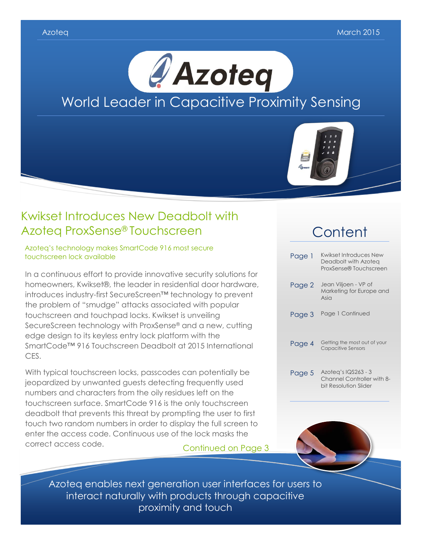



## Kwikset Introduces New Deadbolt with Azoteq ProxSense® Touchscreen

Azoteq's technology makes SmartCode 916 most secure touchscreen lock available

In a continuous effort to provide innovative security solutions for homeowners, Kwikset®, the leader in residential door hardware, introduces industry-first SecureScreen™ technology to prevent the problem of "smudge" attacks associated with popular touchscreen and touchpad locks. Kwikset is unveiling SecureScreen technology with ProxSense® and a new, cutting edge design to its keyless entry lock platform with the SmartCode™ 916 Touchscreen Deadbolt at 2015 International CES.

With typical touchscreen locks, passcodes can potentially be jeopardized by unwanted guests detecting frequently used numbers and characters from the oily residues left on the touchscreen surface. SmartCode 916 is the only touchscreen deadbolt that prevents this threat by prompting the user to first touch two random numbers in order to display the full screen to enter the access code. Continuous use of the lock masks the correct access code. Continued on Page 3

## **Content**

| Page 1 | Kwikset Introduces New<br>Deadbolt with Azoteg<br>ProxSense® Touchscreen   |
|--------|----------------------------------------------------------------------------|
| Page 2 | Jean Viljoen - VP of<br>Marketing for Europe and<br>Asia                   |
| Page 3 | Page 1 Continued                                                           |
| Page 4 | Getting the most out of your<br><b>Capacitive Sensors</b>                  |
| Page 5 | Azoteg's IQS263 - 3<br>Channel Controller with 8-<br>bit Resolution Slider |



Azoteq enables next generation user interfaces for users to interact naturally with products through capacitive proximity and touch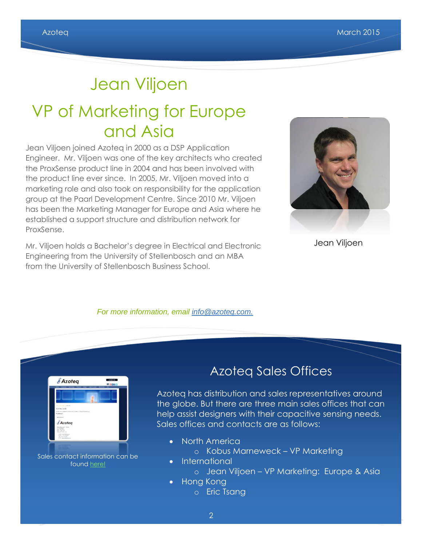# Jean Viljoen

## VP of Marketing for Europe and Asia

Jean Viljoen joined Azoteq in 2000 as a DSP Application Engineer. Mr. Viljoen was one of the key architects who created the ProxSense product line in 2004 and has been involved with the product line ever since. In 2005, Mr. Viljoen moved into a marketing role and also took on responsibility for the application group at the Paarl Development Centre. Since 2010 Mr. Viljoen has been the Marketing Manager for Europe and Asia where he established a support structure and distribution network for ProxSense.

Mr. Viljoen holds a Bachelor's degree in Electrical and Electronic Engineering from the University of Stellenbosch and an MBA from the University of Stellenbosch Business School.



Jean Viljoen

#### *For more information, email [info@azoteq.com.](mailto:info@azoteq.com)*



Azoteq Sales Offices

Azoteq has distribution and sales representatives around the globe. But there are three main sales offices that can help assist designers with their capacitive sensing needs. Sales offices and contacts are as follows:

- North America
	- o Kobus Marneweck VP Marketing
- International
	- o Jean Viljoen VP Marketing: Europe & Asia
- Hong Kong
	- o Eric Tsang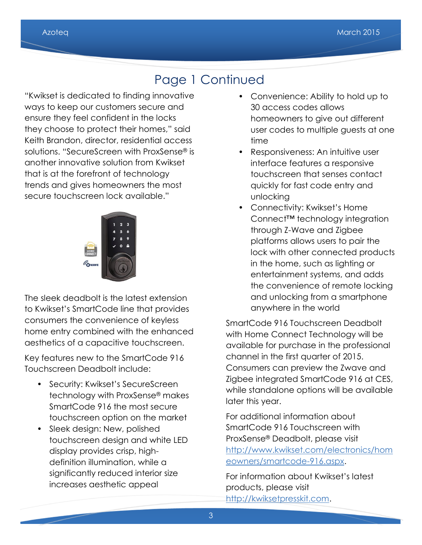## Page 1 Continued

"Kwikset is dedicated to finding innovative ways to keep our customers secure and ensure they feel confident in the locks they choose to protect their homes," said Keith Brandon, director, residential access solutions. "SecureScreen with ProxSense® is another innovative solution from Kwikset that is at the forefront of technology trends and gives homeowners the most secure touchscreen lock available."



The sleek deadbolt is the latest extension to Kwikset's SmartCode line that provides consumers the convenience of keyless home entry combined with the enhanced aesthetics of a capacitive touchscreen.

Key features new to the SmartCode 916 Touchscreen Deadbolt include:

- Security: Kwikset's SecureScreen technology with ProxSense® makes SmartCode 916 the most secure touchscreen option on the market
- Sleek design: New, polished touchscreen design and white LED display provides crisp, highdefinition illumination, while a significantly reduced interior size increases aesthetic appeal
- Convenience: Ability to hold up to 30 access codes allows homeowners to give out different user codes to multiple guests at one time
- Responsiveness: An intuitive user interface features a responsive touchscreen that senses contact quickly for fast code entry and unlocking
- Connectivity: Kwikset's Home Connect™ technology integration through Z-Wave and Zigbee platforms allows users to pair the lock with other connected products in the home, such as lighting or entertainment systems, and adds the convenience of remote locking and unlocking from a smartphone anywhere in the world

SmartCode 916 Touchscreen Deadbolt with Home Connect Technology will be available for purchase in the professional channel in the first quarter of 2015. Consumers can preview the Zwave and Zigbee integrated SmartCode 916 at CES, while standalone options will be available later this year.

For additional information about SmartCode 916 Touchscreen with ProxSense® Deadbolt, please visit [http://www.kwikset.com/electronics/hom](http://www.kwikset.com/electronics/homeowners/smartcode-916.aspx) [eowners/smartcode-916.aspx.](http://www.kwikset.com/electronics/homeowners/smartcode-916.aspx)

For information about Kwikset's latest products, please visit [http://kwiksetpresskit.com.](http://kwiksetpresskit.com/)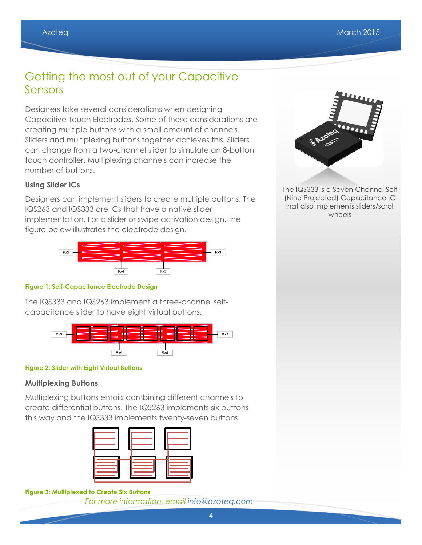## Getting the most out of your Capacitive Sensors

Designers take several considerations when designing Capacitive Touch Electrodes. Some of these considerations are creating multiple buttons with a small amount of channels. Sliders and multiplexing buttons together achieves this. Sliders can change from a two-channel slider to simulate an 8-button touch controller. Multiplexing channels can increase the number of buttons.

## **Using Slider ICs**

Designers can implement sliders to create multiple buttons. The IQS263 and IQS333 are ICs that have a native slider implementation. For a slider or swipe activation design, the figure below illustrates the electrode design.



#### **Figure 1: Self-Capacitance Electrode Design**

The IQS333 and IQS263 implement a three-channel selfcapacitance slider to have eight virtual buttons.



#### **Figure 2: Slider with Eight Virtual Buttons**

#### **Multiplexing Buttons**

Multiplexing buttons entails combining different channels to create differential buttons. The IQS263 implements six buttons this way and the IQS333 implements twenty-seven buttons.



#### **Figure 3: Multiplexed to Create Six Buttons**

*For more information, email [info@azoteq.com](mailto:info@azoteq.com)*



The IQS333 is a Seven Channel Self (Nine Projected) Capacitance IC that also implements sliders/scroll wheels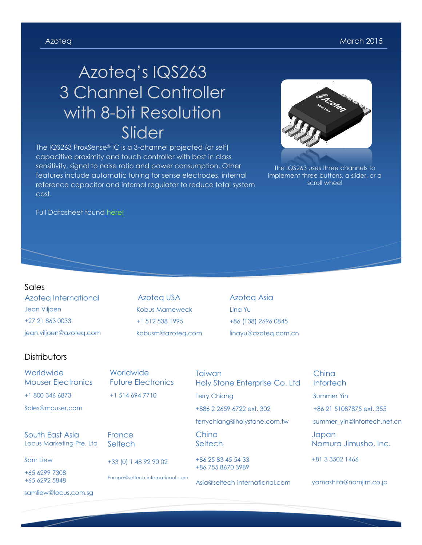# Azoteq's IQS263 3 Channel Controller with 8-bit Resolution Slider

The IQS263 ProxSense® IC is a 3-channel projected (or self) capacitive proximity and touch controller with best in class sensitivity, signal to noise ratio and power consumption. Other features include automatic tuning for sense electrodes, internal reference capacitor and internal regulator to reduce total system cost.



The IQS263 uses three channels to implement three buttons, a slider, or a scroll wheel

Full Datasheet found [here!](http://www.azoteq.com/images/stories/pdf/iqs263_datasheet.pdf)

#### Sales

Azoteq International Jean Viljoen +27 21 863 0033 jean.viljoen@azoteq.com

Azoteq USA Kobus Marneweck +1 512 538 1995 kobusm@azoteq.com

Azoteq Asia Lina Yu +86 (138) 2696 0845 linayu@azoteq.com.cn

#### **Distributors**

| Worldwide<br><b>Mouser Electronics</b>      | Worldwide<br><b>Future Electronics</b> | Taiwan<br>Holy Stone Enterprise Co. Ltd | China<br>Infortech            |
|---------------------------------------------|----------------------------------------|-----------------------------------------|-------------------------------|
| +1 800 346 6873                             | $+1$ 514 694 7710                      | <b>Terry Chiang</b>                     | <b>Summer Yin</b>             |
| Sales@mouser.com                            |                                        | +886 2 2659 6722 ext. 302               | +86 21 51087875 ext. 355      |
|                                             |                                        | terrychiang@holystone.com.tw            | summer_yin@infortech.net.cn   |
| South East Asia<br>Locus Marketing Pte. Ltd | France<br>Seltech                      | China<br>Seltech                        | Japan<br>Nomura Jimusho, Inc. |
| Sam Liew                                    | +33 (0) 1 48 92 90 02                  | +86 25 83 45 54 33<br>+86 755 8670 3989 | +81 3 3502 1466               |
| +65 6299 7308<br>+65 6292 5848              | Europe@seltech-international.com       | Asia@seltech-international.com          | yamashita@nomjim.co.jp        |

samliew@locus.com.sg